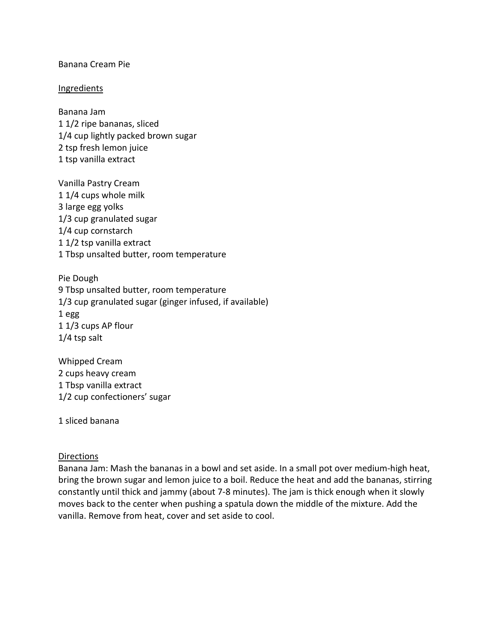## Banana Cream Pie

## **Ingredients**

Banana Jam 1 1/2 ripe bananas, sliced 1/4 cup lightly packed brown sugar 2 tsp fresh lemon juice 1 tsp vanilla extract

Vanilla Pastry Cream 1 1/4 cups whole milk 3 large egg yolks 1/3 cup granulated sugar 1/4 cup cornstarch 1 1/2 tsp vanilla extract 1 Tbsp unsalted butter, room temperature

Pie Dough 9 Tbsp unsalted butter, room temperature 1/3 cup granulated sugar (ginger infused, if available) 1 egg 1 1/3 cups AP flour 1/4 tsp salt

Whipped Cream 2 cups heavy cream 1 Tbsp vanilla extract 1/2 cup confectioners' sugar

1 sliced banana

## Directions

Banana Jam: Mash the bananas in a bowl and set aside. In a small pot over medium-high heat, bring the brown sugar and lemon juice to a boil. Reduce the heat and add the bananas, stirring constantly until thick and jammy (about 7-8 minutes). The jam is thick enough when it slowly moves back to the center when pushing a spatula down the middle of the mixture. Add the vanilla. Remove from heat, cover and set aside to cool.